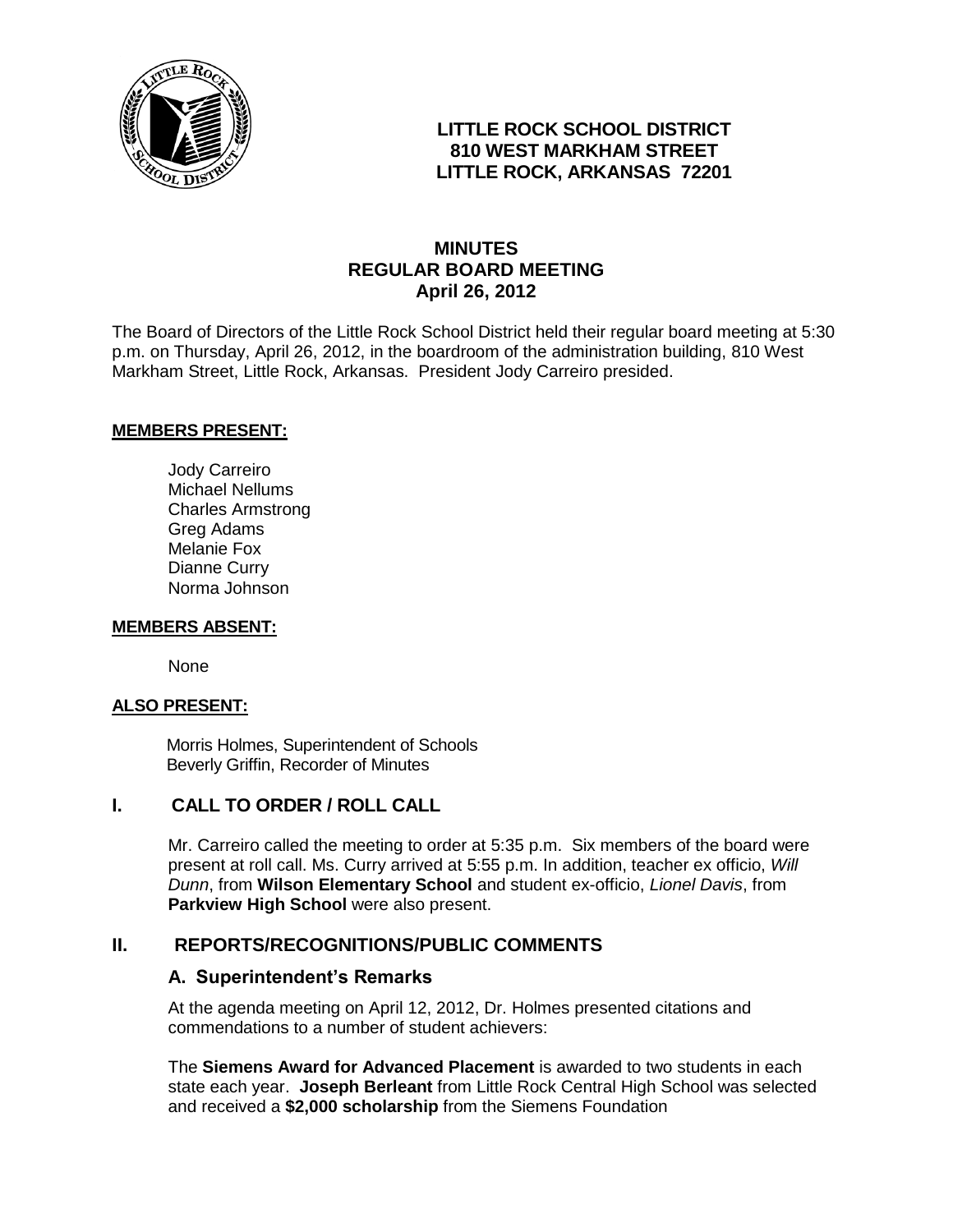

### **LITTLE ROCK SCHOOL DISTRICT 810 WEST MARKHAM STREET LITTLE ROCK, ARKANSAS 72201**

### **MINUTES REGULAR BOARD MEETING April 26, 2012**

The Board of Directors of the Little Rock School District held their regular board meeting at 5:30 p.m. on Thursday, April 26, 2012, in the boardroom of the administration building, 810 West Markham Street, Little Rock, Arkansas. President Jody Carreiro presided.

#### **MEMBERS PRESENT:**

Jody Carreiro Michael Nellums Charles Armstrong Greg Adams Melanie Fox Dianne Curry Norma Johnson

#### **MEMBERS ABSENT:**

None

#### **ALSO PRESENT:**

 Morris Holmes, Superintendent of Schools Beverly Griffin, Recorder of Minutes

### **I. CALL TO ORDER / ROLL CALL**

Mr. Carreiro called the meeting to order at 5:35 p.m. Six members of the board were present at roll call. Ms. Curry arrived at 5:55 p.m. In addition, teacher ex officio, *Will Dunn*, from **Wilson Elementary School** and student ex-officio, *Lionel Davis*, from **Parkview High School** were also present.

#### **II. REPORTS/RECOGNITIONS/PUBLIC COMMENTS**

#### **A. Superintendent's Remarks**

At the agenda meeting on April 12, 2012, Dr. Holmes presented citations and commendations to a number of student achievers:

The **Siemens Award for Advanced Placement** is awarded to two students in each state each year. **Joseph Berleant** from Little Rock Central High School was selected and received a **\$2,000 scholarship** from the Siemens Foundation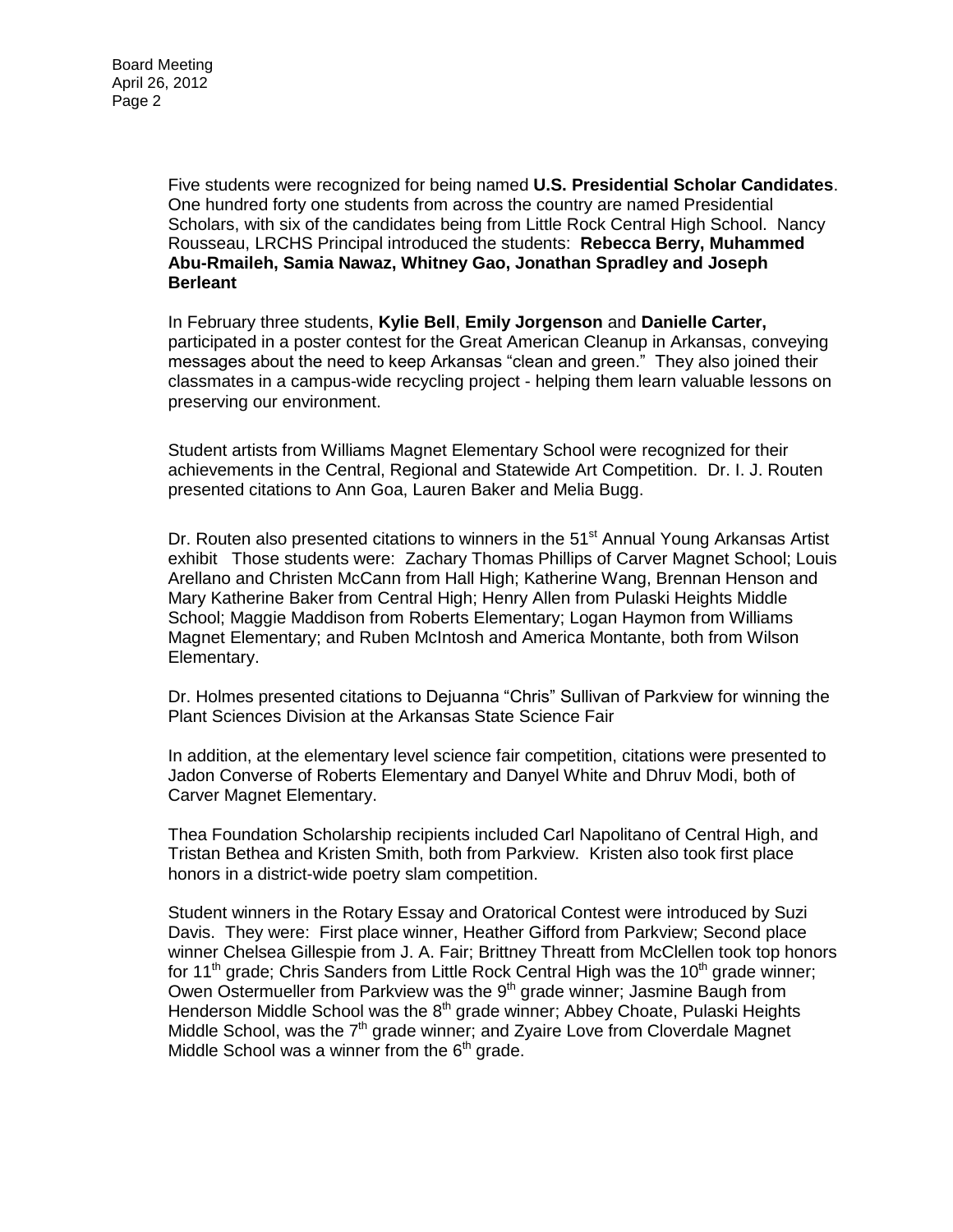Five students were recognized for being named **U.S. Presidential Scholar Candidates**. One hundred forty one students from across the country are named Presidential Scholars, with six of the candidates being from Little Rock Central High School. Nancy Rousseau, LRCHS Principal introduced the students: **Rebecca Berry, Muhammed Abu-Rmaileh, Samia Nawaz, Whitney Gao, Jonathan Spradley and Joseph Berleant**

In February three students, **Kylie Bell**, **Emily Jorgenson** and **Danielle Carter,**  participated in a poster contest for the Great American Cleanup in Arkansas, conveying messages about the need to keep Arkansas "clean and green." They also joined their classmates in a campus-wide recycling project - helping them learn valuable lessons on preserving our environment.

Student artists from Williams Magnet Elementary School were recognized for their achievements in the Central, Regional and Statewide Art Competition. Dr. I. J. Routen presented citations to Ann Goa, Lauren Baker and Melia Bugg.

Dr. Routen also presented citations to winners in the 51<sup>st</sup> Annual Young Arkansas Artist exhibit Those students were: Zachary Thomas Phillips of Carver Magnet School; Louis Arellano and Christen McCann from Hall High; Katherine Wang, Brennan Henson and Mary Katherine Baker from Central High; Henry Allen from Pulaski Heights Middle School; Maggie Maddison from Roberts Elementary; Logan Haymon from Williams Magnet Elementary; and Ruben McIntosh and America Montante, both from Wilson Elementary.

Dr. Holmes presented citations to Dejuanna "Chris" Sullivan of Parkview for winning the Plant Sciences Division at the Arkansas State Science Fair

In addition, at the elementary level science fair competition, citations were presented to Jadon Converse of Roberts Elementary and Danyel White and Dhruv Modi, both of Carver Magnet Elementary.

Thea Foundation Scholarship recipients included Carl Napolitano of Central High, and Tristan Bethea and Kristen Smith, both from Parkview. Kristen also took first place honors in a district-wide poetry slam competition.

Student winners in the Rotary Essay and Oratorical Contest were introduced by Suzi Davis. They were: First place winner, Heather Gifford from Parkview; Second place winner Chelsea Gillespie from J. A. Fair; Brittney Threatt from McClellen took top honors for 11<sup>th</sup> grade; Chris Sanders from Little Rock Central High was the 10<sup>th</sup> grade winner; Owen Ostermueller from Parkview was the 9<sup>th</sup> grade winner; Jasmine Baugh from Henderson Middle School was the 8<sup>th</sup> grade winner; Abbey Choate, Pulaski Heights Middle School, was the  $7<sup>th</sup>$  grade winner; and Zyaire Love from Cloverdale Magnet Middle School was a winner from the  $6<sup>th</sup>$  grade.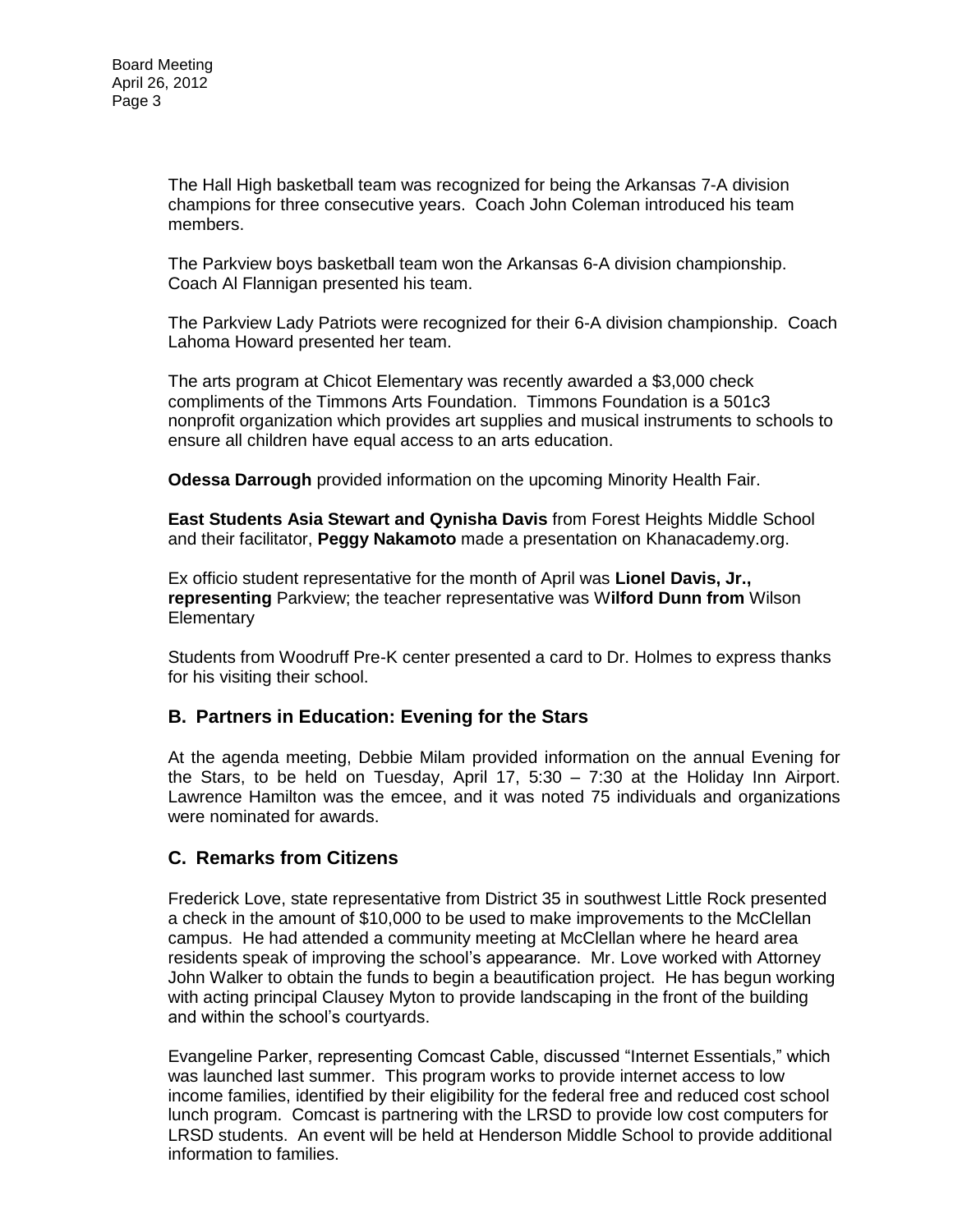The Hall High basketball team was recognized for being the Arkansas 7-A division champions for three consecutive years. Coach John Coleman introduced his team members.

The Parkview boys basketball team won the Arkansas 6-A division championship. Coach Al Flannigan presented his team.

The Parkview Lady Patriots were recognized for their 6-A division championship. Coach Lahoma Howard presented her team.

The arts program at Chicot Elementary was recently awarded a \$3,000 check compliments of the Timmons Arts Foundation. Timmons Foundation is a 501c3 nonprofit organization which provides art supplies and musical instruments to schools to ensure all children have equal access to an arts education.

**Odessa Darrough** provided information on the upcoming Minority Health Fair.

**East Students Asia Stewart and Qynisha Davis** from Forest Heights Middle School and their facilitator, **Peggy Nakamoto** made a presentation on Khanacademy.org.

Ex officio student representative for the month of April was **Lionel Davis, Jr., representing** Parkview; the teacher representative was W**ilford Dunn from** Wilson **Elementary** 

Students from Woodruff Pre-K center presented a card to Dr. Holmes to express thanks for his visiting their school.

#### **B. Partners in Education: Evening for the Stars**

At the agenda meeting, Debbie Milam provided information on the annual Evening for the Stars, to be held on Tuesday, April 17, 5:30 – 7:30 at the Holiday Inn Airport. Lawrence Hamilton was the emcee, and it was noted 75 individuals and organizations were nominated for awards.

#### **C. Remarks from Citizens**

Frederick Love, state representative from District 35 in southwest Little Rock presented a check in the amount of \$10,000 to be used to make improvements to the McClellan campus. He had attended a community meeting at McClellan where he heard area residents speak of improving the school's appearance. Mr. Love worked with Attorney John Walker to obtain the funds to begin a beautification project. He has begun working with acting principal Clausey Myton to provide landscaping in the front of the building and within the school's courtyards.

Evangeline Parker, representing Comcast Cable, discussed "Internet Essentials," which was launched last summer. This program works to provide internet access to low income families, identified by their eligibility for the federal free and reduced cost school lunch program. Comcast is partnering with the LRSD to provide low cost computers for LRSD students. An event will be held at Henderson Middle School to provide additional information to families.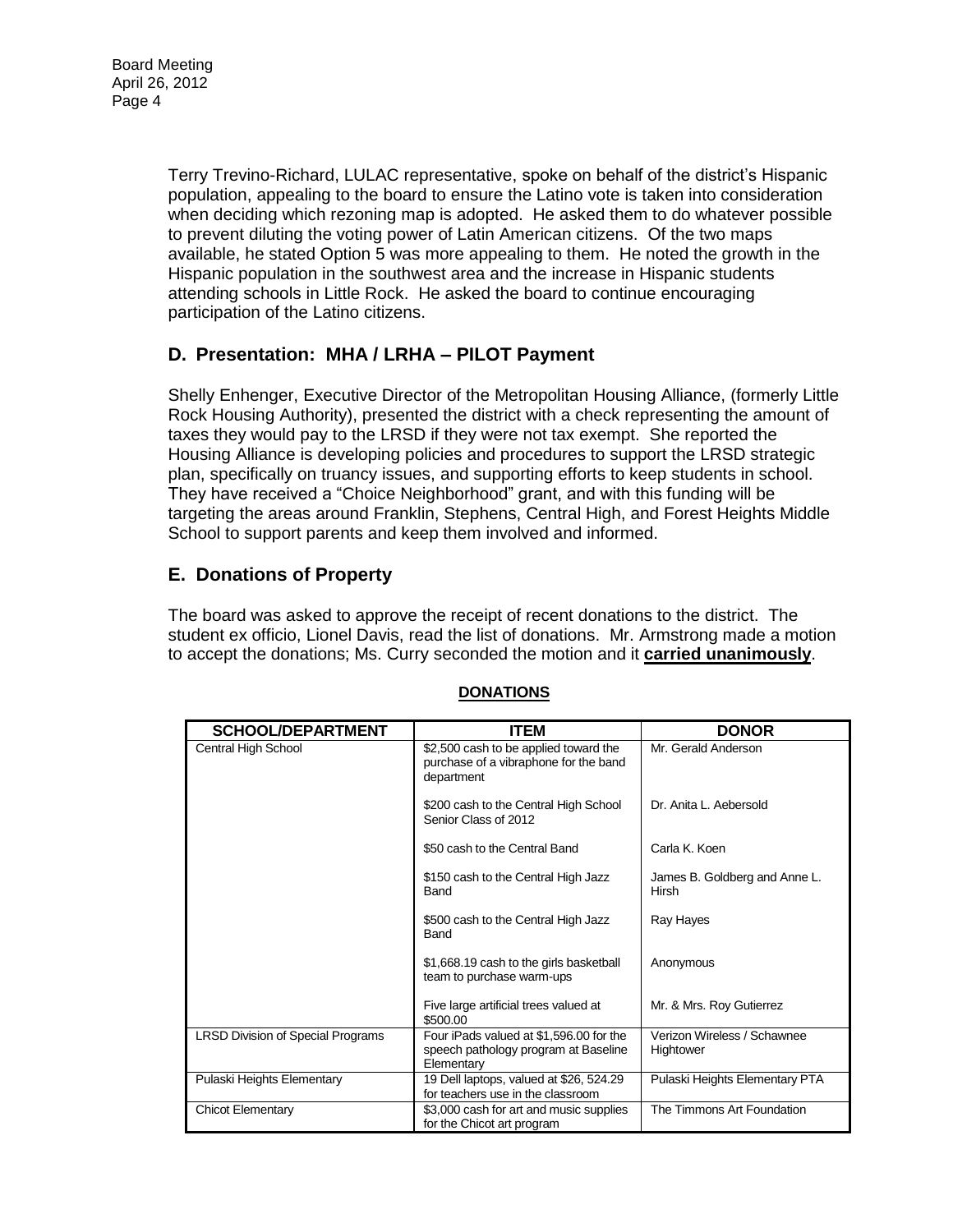Terry Trevino-Richard, LULAC representative, spoke on behalf of the district's Hispanic population, appealing to the board to ensure the Latino vote is taken into consideration when deciding which rezoning map is adopted. He asked them to do whatever possible to prevent diluting the voting power of Latin American citizens. Of the two maps available, he stated Option 5 was more appealing to them. He noted the growth in the Hispanic population in the southwest area and the increase in Hispanic students attending schools in Little Rock. He asked the board to continue encouraging participation of the Latino citizens.

## **D. Presentation: MHA / LRHA – PILOT Payment**

Shelly Enhenger, Executive Director of the Metropolitan Housing Alliance, (formerly Little Rock Housing Authority), presented the district with a check representing the amount of taxes they would pay to the LRSD if they were not tax exempt. She reported the Housing Alliance is developing policies and procedures to support the LRSD strategic plan, specifically on truancy issues, and supporting efforts to keep students in school. They have received a "Choice Neighborhood" grant, and with this funding will be targeting the areas around Franklin, Stephens, Central High, and Forest Heights Middle School to support parents and keep them involved and informed.

# **E. Donations of Property**

The board was asked to approve the receipt of recent donations to the district. The student ex officio, Lionel Davis, read the list of donations. Mr. Armstrong made a motion to accept the donations; Ms. Curry seconded the motion and it **carried unanimously**.

| <b>SCHOOL/DEPARTMENT</b>                 | <b>ITEM</b>                                                                                   | <b>DONOR</b>                                  |
|------------------------------------------|-----------------------------------------------------------------------------------------------|-----------------------------------------------|
| Central High School                      | \$2,500 cash to be applied toward the<br>purchase of a vibraphone for the band<br>department  | Mr. Gerald Anderson                           |
|                                          | \$200 cash to the Central High School<br>Senior Class of 2012                                 | Dr. Anita L. Aebersold                        |
|                                          | \$50 cash to the Central Band                                                                 | Carla K. Koen                                 |
|                                          | \$150 cash to the Central High Jazz<br>Band                                                   | James B. Goldberg and Anne L.<br><b>Hirsh</b> |
|                                          | \$500 cash to the Central High Jazz<br>Band                                                   | Ray Hayes                                     |
|                                          | \$1,668.19 cash to the girls basketball<br>team to purchase warm-ups                          | Anonymous                                     |
|                                          | Five large artificial trees valued at<br>\$500.00                                             | Mr. & Mrs. Roy Gutierrez                      |
| <b>LRSD Division of Special Programs</b> | Four iPads valued at \$1,596.00 for the<br>speech pathology program at Baseline<br>Elementary | Verizon Wireless / Schawnee<br>Hightower      |
| Pulaski Heights Elementary               | 19 Dell laptops, valued at \$26, 524.29<br>for teachers use in the classroom                  | Pulaski Heights Elementary PTA                |
| <b>Chicot Elementary</b>                 | \$3,000 cash for art and music supplies<br>for the Chicot art program                         | The Timmons Art Foundation                    |

#### **DONATIONS**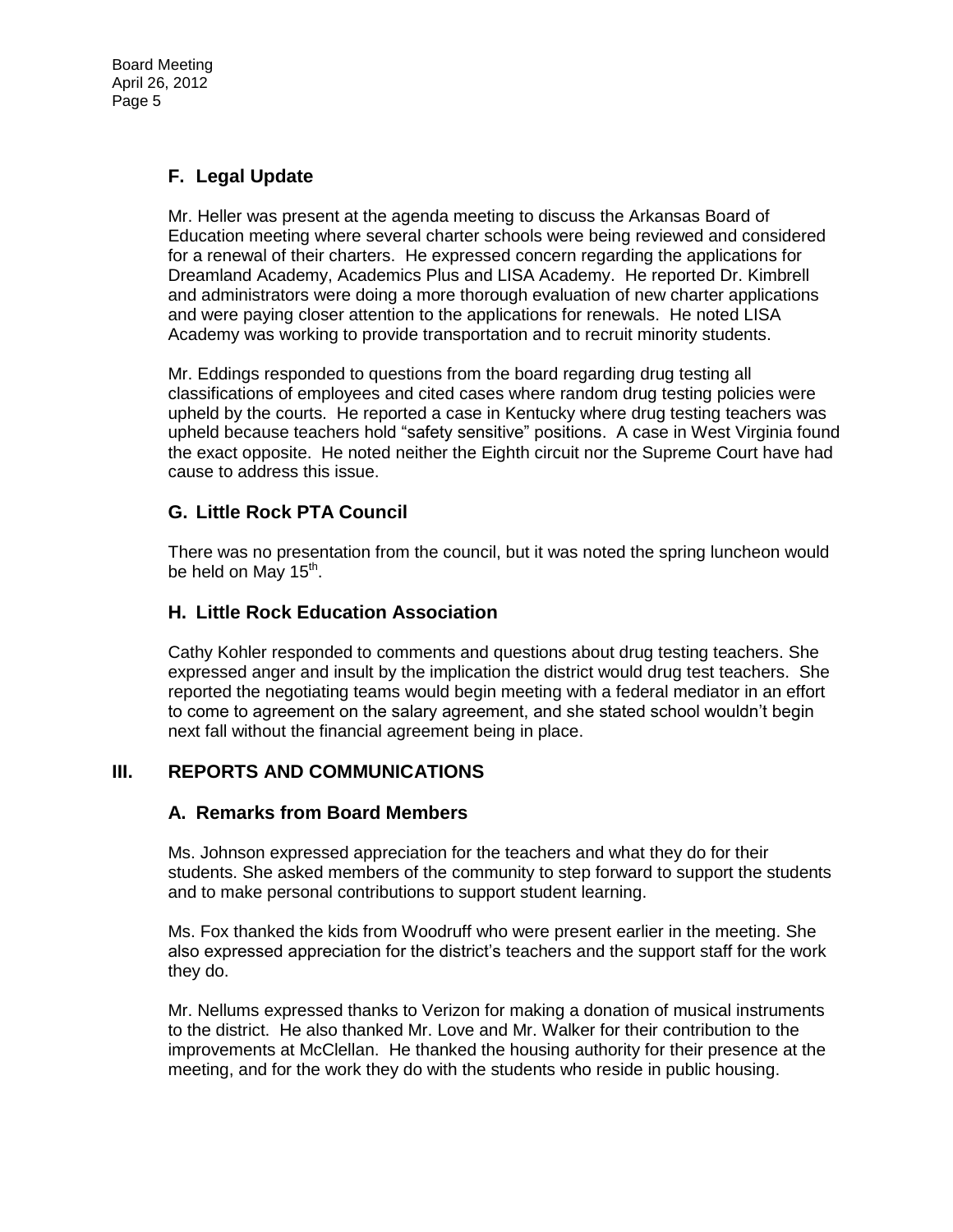## **F. Legal Update**

Mr. Heller was present at the agenda meeting to discuss the Arkansas Board of Education meeting where several charter schools were being reviewed and considered for a renewal of their charters. He expressed concern regarding the applications for Dreamland Academy, Academics Plus and LISA Academy. He reported Dr. Kimbrell and administrators were doing a more thorough evaluation of new charter applications and were paying closer attention to the applications for renewals. He noted LISA Academy was working to provide transportation and to recruit minority students.

Mr. Eddings responded to questions from the board regarding drug testing all classifications of employees and cited cases where random drug testing policies were upheld by the courts. He reported a case in Kentucky where drug testing teachers was upheld because teachers hold "safety sensitive" positions. A case in West Virginia found the exact opposite. He noted neither the Eighth circuit nor the Supreme Court have had cause to address this issue.

## **G. Little Rock PTA Council**

There was no presentation from the council, but it was noted the spring luncheon would be held on May 15<sup>th</sup>.

#### **H. Little Rock Education Association**

Cathy Kohler responded to comments and questions about drug testing teachers. She expressed anger and insult by the implication the district would drug test teachers. She reported the negotiating teams would begin meeting with a federal mediator in an effort to come to agreement on the salary agreement, and she stated school wouldn't begin next fall without the financial agreement being in place.

### **III. REPORTS AND COMMUNICATIONS**

#### **A. Remarks from Board Members**

Ms. Johnson expressed appreciation for the teachers and what they do for their students. She asked members of the community to step forward to support the students and to make personal contributions to support student learning.

Ms. Fox thanked the kids from Woodruff who were present earlier in the meeting. She also expressed appreciation for the district's teachers and the support staff for the work they do.

Mr. Nellums expressed thanks to Verizon for making a donation of musical instruments to the district. He also thanked Mr. Love and Mr. Walker for their contribution to the improvements at McClellan. He thanked the housing authority for their presence at the meeting, and for the work they do with the students who reside in public housing.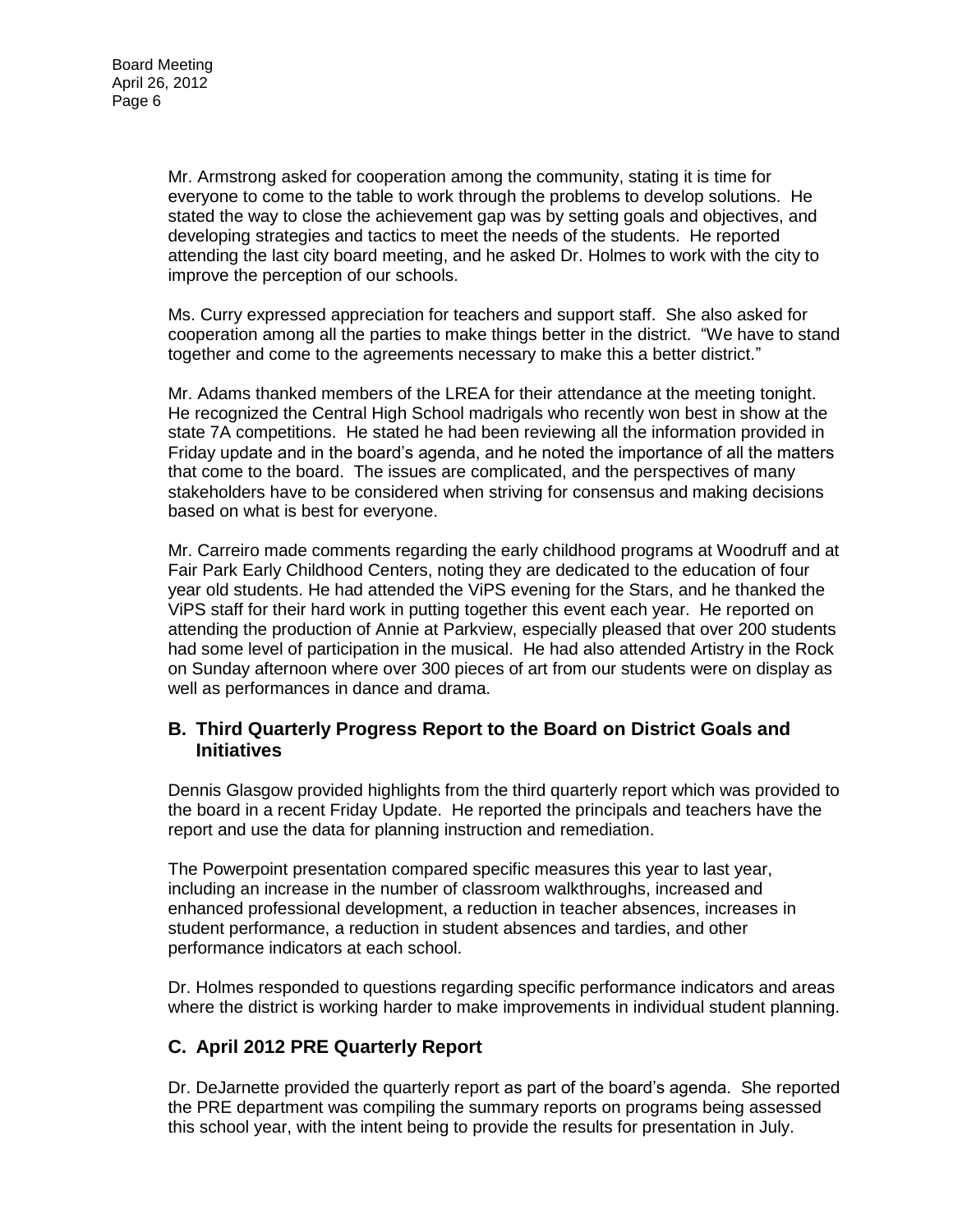Mr. Armstrong asked for cooperation among the community, stating it is time for everyone to come to the table to work through the problems to develop solutions. He stated the way to close the achievement gap was by setting goals and objectives, and developing strategies and tactics to meet the needs of the students. He reported attending the last city board meeting, and he asked Dr. Holmes to work with the city to improve the perception of our schools.

Ms. Curry expressed appreciation for teachers and support staff. She also asked for cooperation among all the parties to make things better in the district. "We have to stand together and come to the agreements necessary to make this a better district."

Mr. Adams thanked members of the LREA for their attendance at the meeting tonight. He recognized the Central High School madrigals who recently won best in show at the state 7A competitions. He stated he had been reviewing all the information provided in Friday update and in the board's agenda, and he noted the importance of all the matters that come to the board. The issues are complicated, and the perspectives of many stakeholders have to be considered when striving for consensus and making decisions based on what is best for everyone.

Mr. Carreiro made comments regarding the early childhood programs at Woodruff and at Fair Park Early Childhood Centers, noting they are dedicated to the education of four year old students. He had attended the ViPS evening for the Stars, and he thanked the ViPS staff for their hard work in putting together this event each year. He reported on attending the production of Annie at Parkview, especially pleased that over 200 students had some level of participation in the musical. He had also attended Artistry in the Rock on Sunday afternoon where over 300 pieces of art from our students were on display as well as performances in dance and drama.

#### **B. Third Quarterly Progress Report to the Board on District Goals and Initiatives**

Dennis Glasgow provided highlights from the third quarterly report which was provided to the board in a recent Friday Update. He reported the principals and teachers have the report and use the data for planning instruction and remediation.

The Powerpoint presentation compared specific measures this year to last year, including an increase in the number of classroom walkthroughs, increased and enhanced professional development, a reduction in teacher absences, increases in student performance, a reduction in student absences and tardies, and other performance indicators at each school.

Dr. Holmes responded to questions regarding specific performance indicators and areas where the district is working harder to make improvements in individual student planning.

#### **C. April 2012 PRE Quarterly Report**

Dr. DeJarnette provided the quarterly report as part of the board's agenda. She reported the PRE department was compiling the summary reports on programs being assessed this school year, with the intent being to provide the results for presentation in July.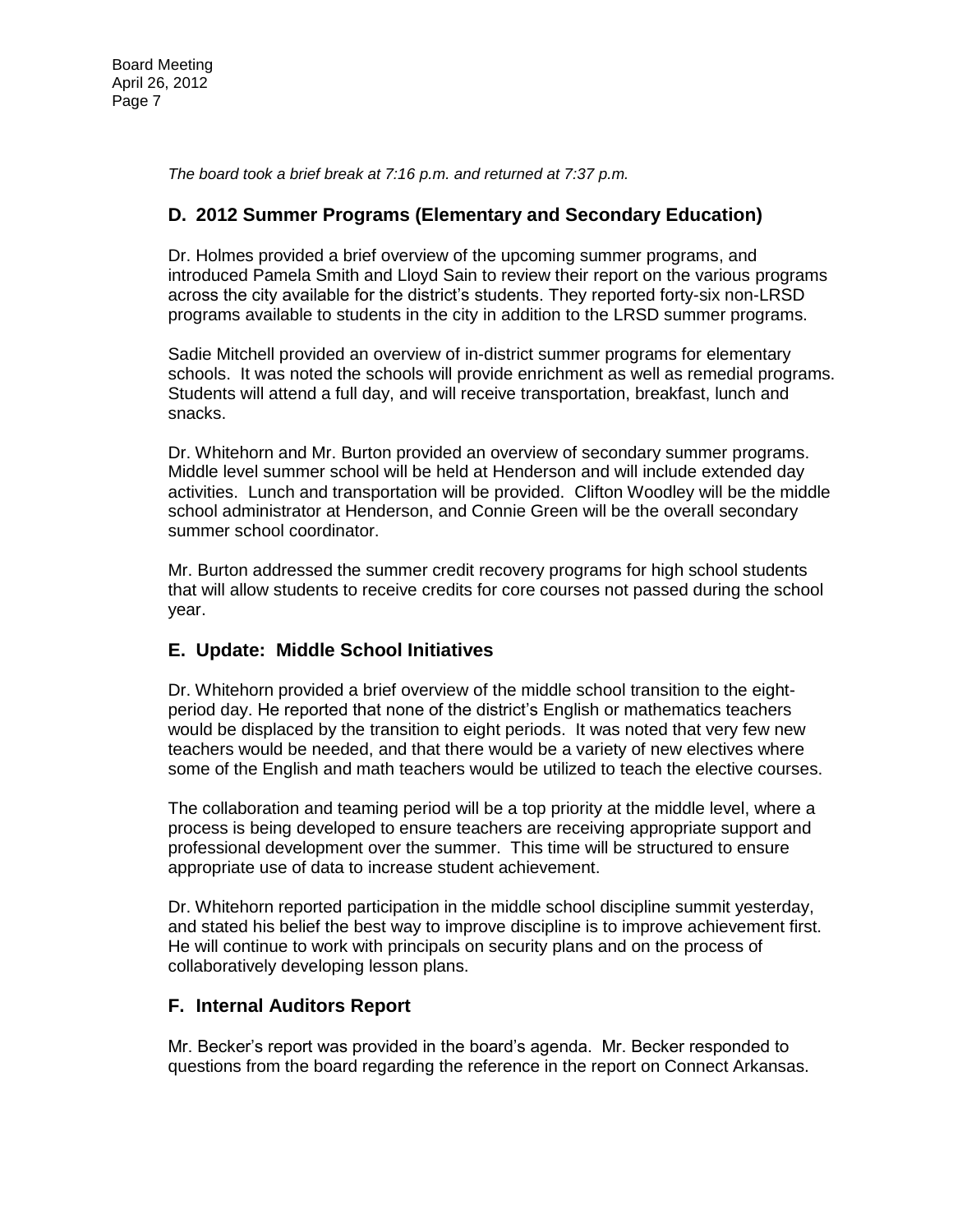*The board took a brief break at 7:16 p.m. and returned at 7:37 p.m.*

#### **D. 2012 Summer Programs (Elementary and Secondary Education)**

Dr. Holmes provided a brief overview of the upcoming summer programs, and introduced Pamela Smith and Lloyd Sain to review their report on the various programs across the city available for the district's students. They reported forty-six non-LRSD programs available to students in the city in addition to the LRSD summer programs.

Sadie Mitchell provided an overview of in-district summer programs for elementary schools. It was noted the schools will provide enrichment as well as remedial programs. Students will attend a full day, and will receive transportation, breakfast, lunch and snacks.

Dr. Whitehorn and Mr. Burton provided an overview of secondary summer programs. Middle level summer school will be held at Henderson and will include extended day activities. Lunch and transportation will be provided. Clifton Woodley will be the middle school administrator at Henderson, and Connie Green will be the overall secondary summer school coordinator.

Mr. Burton addressed the summer credit recovery programs for high school students that will allow students to receive credits for core courses not passed during the school year.

#### **E. Update: Middle School Initiatives**

Dr. Whitehorn provided a brief overview of the middle school transition to the eightperiod day. He reported that none of the district's English or mathematics teachers would be displaced by the transition to eight periods. It was noted that very few new teachers would be needed, and that there would be a variety of new electives where some of the English and math teachers would be utilized to teach the elective courses.

The collaboration and teaming period will be a top priority at the middle level, where a process is being developed to ensure teachers are receiving appropriate support and professional development over the summer. This time will be structured to ensure appropriate use of data to increase student achievement.

Dr. Whitehorn reported participation in the middle school discipline summit yesterday, and stated his belief the best way to improve discipline is to improve achievement first. He will continue to work with principals on security plans and on the process of collaboratively developing lesson plans.

#### **F. Internal Auditors Report**

Mr. Becker's report was provided in the board's agenda. Mr. Becker responded to questions from the board regarding the reference in the report on Connect Arkansas.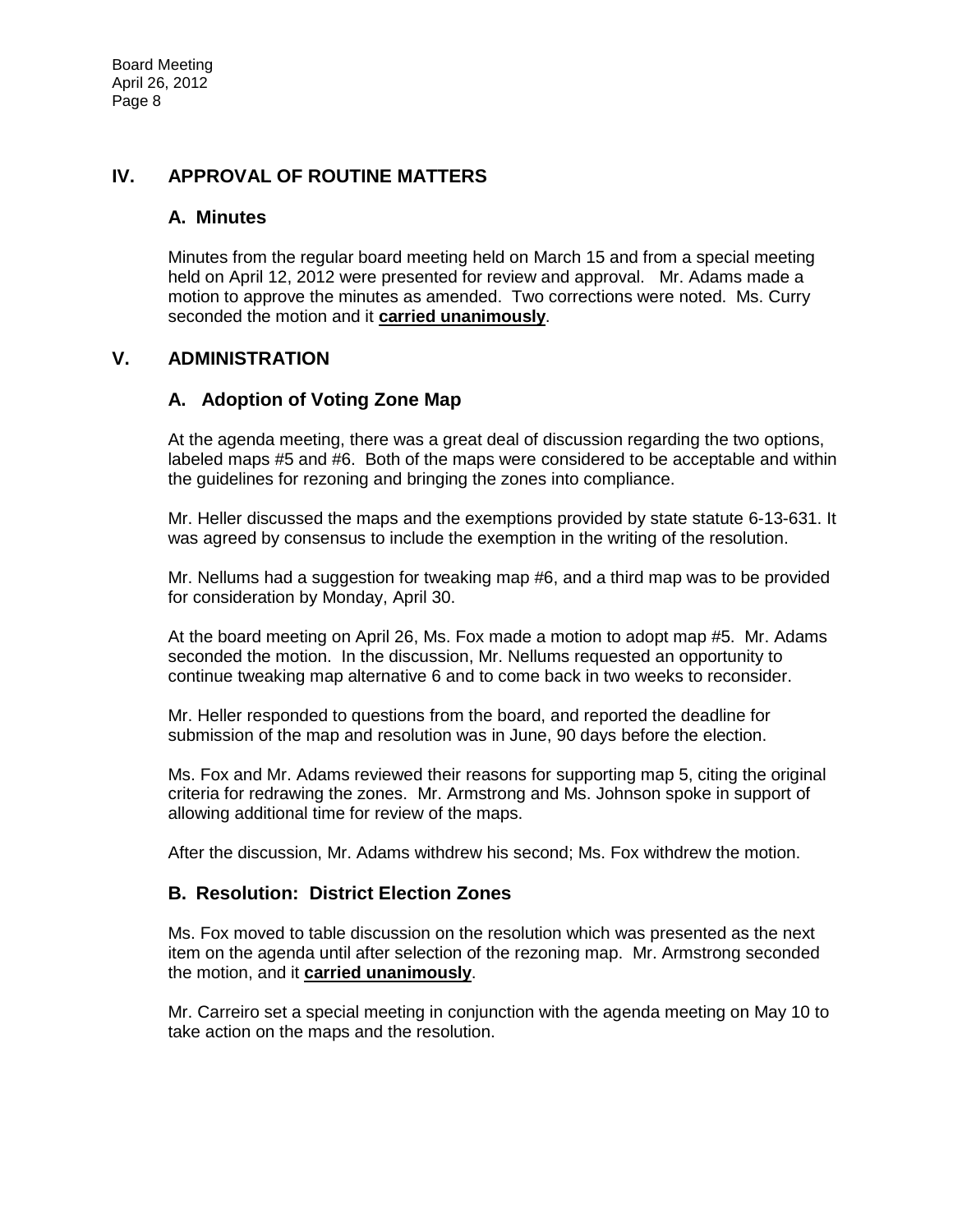### **IV. APPROVAL OF ROUTINE MATTERS**

#### **A. Minutes**

Minutes from the regular board meeting held on March 15 and from a special meeting held on April 12, 2012 were presented for review and approval. Mr. Adams made a motion to approve the minutes as amended. Two corrections were noted. Ms. Curry seconded the motion and it **carried unanimously**.

#### **V. ADMINISTRATION**

#### **A. Adoption of Voting Zone Map**

At the agenda meeting, there was a great deal of discussion regarding the two options, labeled maps #5 and #6. Both of the maps were considered to be acceptable and within the guidelines for rezoning and bringing the zones into compliance.

Mr. Heller discussed the maps and the exemptions provided by state statute 6-13-631. It was agreed by consensus to include the exemption in the writing of the resolution.

Mr. Nellums had a suggestion for tweaking map #6, and a third map was to be provided for consideration by Monday, April 30.

At the board meeting on April 26, Ms. Fox made a motion to adopt map #5. Mr. Adams seconded the motion. In the discussion, Mr. Nellums requested an opportunity to continue tweaking map alternative 6 and to come back in two weeks to reconsider.

Mr. Heller responded to questions from the board, and reported the deadline for submission of the map and resolution was in June, 90 days before the election.

Ms. Fox and Mr. Adams reviewed their reasons for supporting map 5, citing the original criteria for redrawing the zones. Mr. Armstrong and Ms. Johnson spoke in support of allowing additional time for review of the maps.

After the discussion, Mr. Adams withdrew his second; Ms. Fox withdrew the motion.

#### **B. Resolution: District Election Zones**

Ms. Fox moved to table discussion on the resolution which was presented as the next item on the agenda until after selection of the rezoning map. Mr. Armstrong seconded the motion, and it **carried unanimously**.

Mr. Carreiro set a special meeting in conjunction with the agenda meeting on May 10 to take action on the maps and the resolution.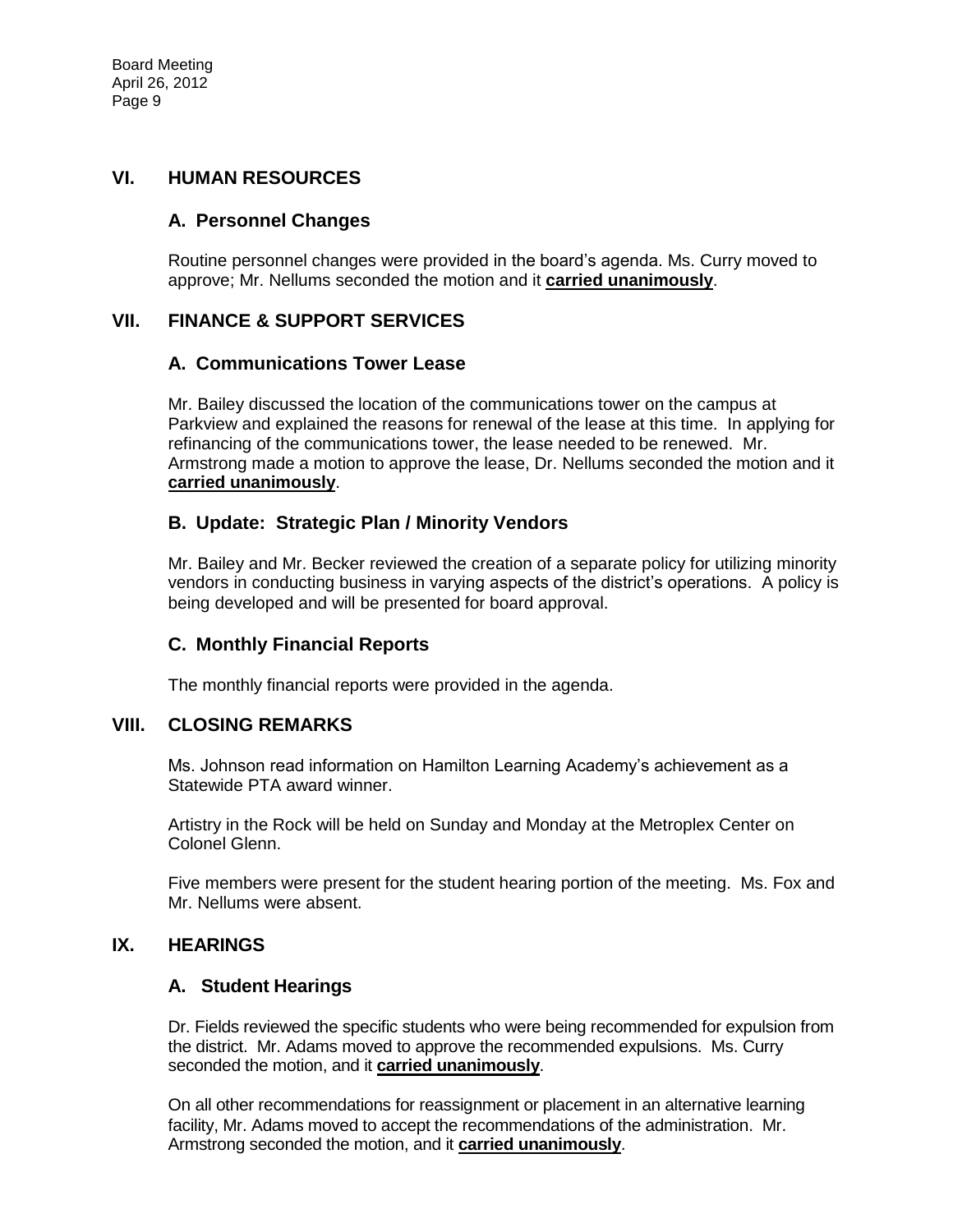#### **VI. HUMAN RESOURCES**

#### **A. Personnel Changes**

Routine personnel changes were provided in the board's agenda. Ms. Curry moved to approve; Mr. Nellums seconded the motion and it **carried unanimously**.

#### **VII. FINANCE & SUPPORT SERVICES**

#### **A. Communications Tower Lease**

Mr. Bailey discussed the location of the communications tower on the campus at Parkview and explained the reasons for renewal of the lease at this time. In applying for refinancing of the communications tower, the lease needed to be renewed. Mr. Armstrong made a motion to approve the lease, Dr. Nellums seconded the motion and it **carried unanimously**.

#### **B. Update: Strategic Plan / Minority Vendors**

Mr. Bailey and Mr. Becker reviewed the creation of a separate policy for utilizing minority vendors in conducting business in varying aspects of the district's operations. A policy is being developed and will be presented for board approval.

#### **C. Monthly Financial Reports**

The monthly financial reports were provided in the agenda.

#### **VIII. CLOSING REMARKS**

Ms. Johnson read information on Hamilton Learning Academy's achievement as a Statewide PTA award winner.

Artistry in the Rock will be held on Sunday and Monday at the Metroplex Center on Colonel Glenn.

Five members were present for the student hearing portion of the meeting. Ms. Fox and Mr. Nellums were absent.

#### **IX. HEARINGS**

#### **A. Student Hearings**

Dr. Fields reviewed the specific students who were being recommended for expulsion from the district. Mr. Adams moved to approve the recommended expulsions. Ms. Curry seconded the motion, and it **carried unanimously**.

On all other recommendations for reassignment or placement in an alternative learning facility, Mr. Adams moved to accept the recommendations of the administration. Mr. Armstrong seconded the motion, and it **carried unanimously**.